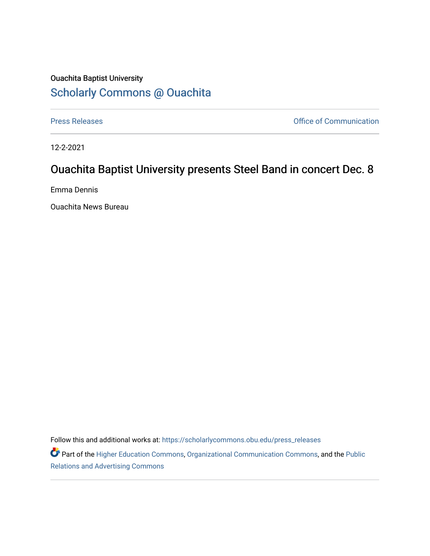## Ouachita Baptist University [Scholarly Commons @ Ouachita](https://scholarlycommons.obu.edu/)

[Press Releases](https://scholarlycommons.obu.edu/press_releases) **Press Releases Communication** 

12-2-2021

## Ouachita Baptist University presents Steel Band in concert Dec. 8

Emma Dennis

Ouachita News Bureau

Follow this and additional works at: [https://scholarlycommons.obu.edu/press\\_releases](https://scholarlycommons.obu.edu/press_releases?utm_source=scholarlycommons.obu.edu%2Fpress_releases%2F887&utm_medium=PDF&utm_campaign=PDFCoverPages)

Part of the [Higher Education Commons,](http://network.bepress.com/hgg/discipline/1245?utm_source=scholarlycommons.obu.edu%2Fpress_releases%2F887&utm_medium=PDF&utm_campaign=PDFCoverPages) [Organizational Communication Commons,](http://network.bepress.com/hgg/discipline/335?utm_source=scholarlycommons.obu.edu%2Fpress_releases%2F887&utm_medium=PDF&utm_campaign=PDFCoverPages) and the [Public](http://network.bepress.com/hgg/discipline/336?utm_source=scholarlycommons.obu.edu%2Fpress_releases%2F887&utm_medium=PDF&utm_campaign=PDFCoverPages) [Relations and Advertising Commons](http://network.bepress.com/hgg/discipline/336?utm_source=scholarlycommons.obu.edu%2Fpress_releases%2F887&utm_medium=PDF&utm_campaign=PDFCoverPages)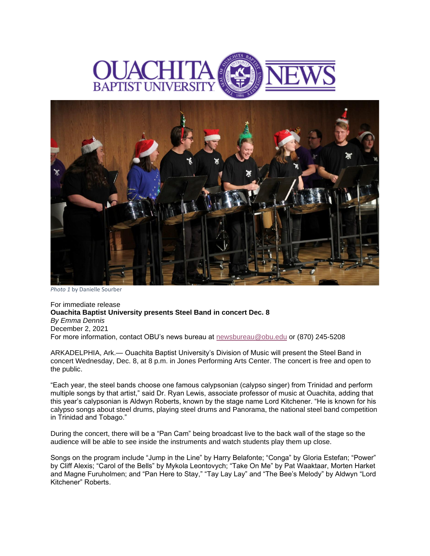



*Photo 1* by Danielle Sourber

For immediate release **Ouachita Baptist University presents Steel Band in concert Dec. 8** *By Emma Dennis* December 2, 2021 For more information, contact OBU's news bureau at [newsbureau@obu.edu](mailto:newsbureau@obu.edu) or (870) 245-5208

ARKADELPHIA, Ark.— Ouachita Baptist University's Division of Music will present the Steel Band in concert Wednesday, Dec. 8, at 8 p.m. in Jones Performing Arts Center. The concert is free and open to the public.

"Each year, the steel bands choose one famous calypsonian (calypso singer) from Trinidad and perform multiple songs by that artist," said Dr. Ryan Lewis, associate professor of music at Ouachita, adding that this year's calypsonian is Aldwyn Roberts, known by the stage name Lord Kitchener. "He is known for his calypso songs about steel drums, playing steel drums and Panorama, the national steel band competition in Trinidad and Tobago."

During the concert, there will be a "Pan Cam" being broadcast live to the back wall of the stage so the audience will be able to see inside the instruments and watch students play them up close.

Songs on the program include "Jump in the Line" by Harry Belafonte; "Conga" by Gloria Estefan; "Power" by Cliff Alexis; "Carol of the Bells" by Mykola Leontovych; "Take On Me" by Pat Waaktaar, Morten Harket and Magne Furuholmen; and "Pan Here to Stay," "Tay Lay Lay" and "The Bee's Melody" by Aldwyn "Lord Kitchener" Roberts.